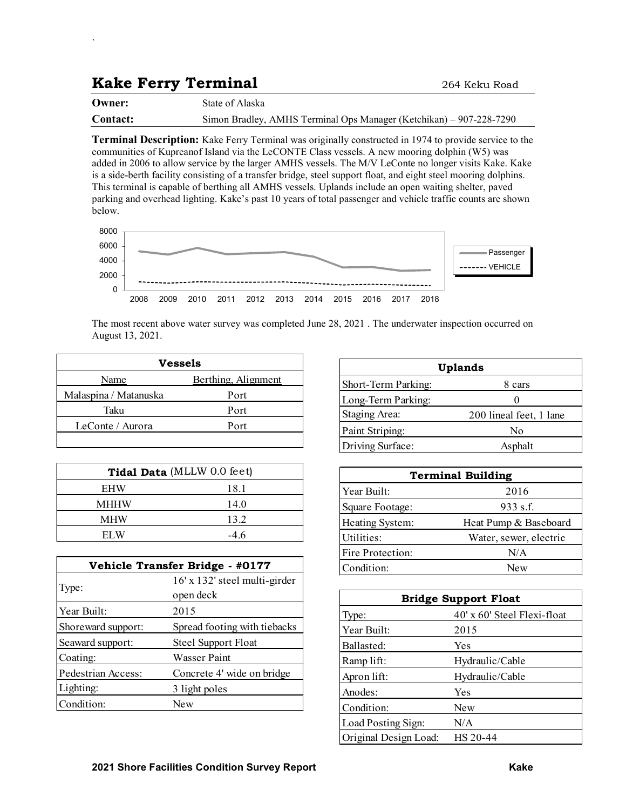## Kake Ferry Terminal 264 Keku Road

`

| Owner:   | State of Alaska                                                     |
|----------|---------------------------------------------------------------------|
| Contact: | Simon Bradley, AMHS Terminal Ops Manager (Ketchikan) – 907-228-7290 |

Terminal Description: Kake Ferry Terminal was originally constructed in 1974 to provide service to the communities of Kupreanof Island via the LeCONTE Class vessels. A new mooring dolphin (W5) was added in 2006 to allow service by the larger AMHS vessels. The M/V LeConte no longer visits Kake. Kake is a side-berth facility consisting of a transfer bridge, steel support float, and eight steel mooring dolphins. This terminal is capable of berthing all AMHS vessels. Uplands include an open waiting shelter, paved parking and overhead lighting. Kake's past 10 years of total passenger and vehicle traffic counts are shown below.



|                       | <b>Vessels</b>      |
|-----------------------|---------------------|
| Name                  | Berthing, Alignment |
| Malaspina / Matanuska | Port                |
| Taku                  | Port                |
| LeConte / Aurora      | Port                |
|                       |                     |

|             | Tidal Data (MLLW 0.0 feet) |   |
|-------------|----------------------------|---|
| <b>EHW</b>  | 18.1                       |   |
| <b>MHHW</b> | 14.0                       |   |
| <b>MHW</b>  | 13.2                       | H |
| FI W        | -4.6                       |   |

|                       | <b>Vessels</b>                  |                       | <b>Uplands</b>            |
|-----------------------|---------------------------------|-----------------------|---------------------------|
| Name                  | Berthing, Alignment             | Short-Term Parking:   | 8                         |
| Malaspina / Matanuska | Port                            | Long-Term Parking:    |                           |
| Taku                  | Port                            | Staging Area:         | 200 linea                 |
| LeConte / Aurora      | Port                            | Paint Striping:       |                           |
|                       |                                 | Driving Surface:      | Α                         |
|                       | Tidal Data (MLLW 0.0 feet)      |                       | <b>Terminal Building</b>  |
| <b>EHW</b>            | 18.1                            | Year Built:           |                           |
| <b>MHHW</b>           | 14.0                            | Square Footage:       | 9                         |
| <b>MHW</b>            | 13.2                            | Heating System:       | Heat Pum                  |
| <b>ELW</b>            | $-4.6$                          | Utilities:            | Water, se                 |
|                       |                                 | Fire Protection:      |                           |
|                       | Vehicle Transfer Bridge - #0177 | Condition:            |                           |
|                       | 16' x 132' steel multi-girder   |                       |                           |
| Type:                 | open deck                       |                       | <b>Bridge Support Flo</b> |
| Year Built:           | 2015                            | Type:                 | 40' x 60' Ste             |
| Shoreward support:    | Spread footing with tiebacks    | Year Built:           | 2015                      |
| Seaward support:      | <b>Steel Support Float</b>      | Ballasted:            | Yes                       |
| Coating:              | <b>Wasser Paint</b>             | Ramp lift:            | Hydraulic/C               |
| Pedestrian Access:    | Concrete 4' wide on bridge      | Apron lift:           | Hydraulic/C               |
| Lighting:             | 3 light poles                   | Anodes:               | Yes                       |
| Condition:            | <b>New</b>                      | Condition:            | New                       |
|                       |                                 | Load Posting Sign:    | N/A                       |
|                       |                                 | Original Design Load: | HS 20-44                  |

| . Ops Manager (Ketchikan) – 907-228-7290                                                                                                                                                                                                                                                        |                           |
|-------------------------------------------------------------------------------------------------------------------------------------------------------------------------------------------------------------------------------------------------------------------------------------------------|---------------------------|
| lly constructed in 1974 to provide service to the<br>ressels. A new mooring dolphin (W5) was<br>The M/V LeConte no longer visits Kake. Kake<br>upport float, and eight steel mooring dolphins.<br>inds include an open waiting shelter, paved<br>passenger and vehicle traffic counts are shown |                           |
| 015<br>2016<br>2018<br>2017                                                                                                                                                                                                                                                                     | Passenger<br>---- VEHICLE |
| , 2021 . The underwater inspection occurred on                                                                                                                                                                                                                                                  |                           |
|                                                                                                                                                                                                                                                                                                 | <b>Uplands</b>            |
| Short-Term Parking:                                                                                                                                                                                                                                                                             | 8 cars                    |
| Long-Term Parking:                                                                                                                                                                                                                                                                              | 0                         |
| <b>Staging Area:</b>                                                                                                                                                                                                                                                                            | 200 lineal feet, 1 lane   |
| Paint Striping:                                                                                                                                                                                                                                                                                 | No                        |
| Driving Surface:                                                                                                                                                                                                                                                                                | Asphalt                   |
|                                                                                                                                                                                                                                                                                                 | <b>Terminal Building</b>  |
| Year Built:                                                                                                                                                                                                                                                                                     | 2016                      |
| Square Footage:                                                                                                                                                                                                                                                                                 | 933 s.f.                  |
| Heating System:                                                                                                                                                                                                                                                                                 | Heat Pump & Baseboard     |
| Utilities:                                                                                                                                                                                                                                                                                      | Water, sewer, electric    |
| Fire Protection:                                                                                                                                                                                                                                                                                | N/A                       |

| 6000             |                                                                                                      |                              | Passenger                   |
|------------------|------------------------------------------------------------------------------------------------------|------------------------------|-----------------------------|
| 000              |                                                                                                      |                              | ------- VEHICLE             |
| 2000             |                                                                                                      |                              |                             |
| $\Omega$<br>2008 | 2009<br>2010<br>2011<br>2012<br>2014<br>2013                                                         | 2015<br>2016<br>2018<br>2017 |                             |
|                  |                                                                                                      |                              |                             |
|                  | ie most recent above water survey was completed June 28, 2021. The underwater inspection occurred on |                              |                             |
| ugust 13, 2021.  |                                                                                                      |                              |                             |
|                  | <b>Vessels</b>                                                                                       |                              | <b>Uplands</b>              |
| Name             | Berthing, Alignment                                                                                  | Short-Term Parking:          | 8 cars                      |
| a / Matanuska    | Port                                                                                                 | Long-Term Parking:           | $\Omega$                    |
| Taku             | Port                                                                                                 | Staging Area:                | 200 lineal feet, 1 lane     |
| nte / Aurora     | Port                                                                                                 | Paint Striping:              | N <sub>o</sub>              |
|                  |                                                                                                      | Driving Surface:             | Asphalt                     |
|                  |                                                                                                      |                              |                             |
|                  | Tidal Data (MLLW 0.0 feet)                                                                           |                              | <b>Terminal Building</b>    |
| EHW              | 18.1                                                                                                 | Year Built:                  | 2016                        |
| <b>IHHW</b>      | 14.0                                                                                                 | Square Footage:              | 933 s.f.                    |
| <b>MHW</b>       | 13.2                                                                                                 | Heating System:              | Heat Pump & Baseboard       |
| <b>ELW</b>       | $-4.6$                                                                                               | Utilities:                   | Water, sewer, electric      |
|                  |                                                                                                      | Fire Protection:             | N/A                         |
|                  | hicle Transfer Bridge - #0177                                                                        | Condition:                   | New                         |
|                  | 16' x 132' steel multi-girder                                                                        |                              |                             |
|                  | open deck                                                                                            |                              | <b>Bridge Support Float</b> |
|                  | 2015                                                                                                 | Type:                        | 40' x 60' Steel Flexi-float |
| d support:       | Spread footing with tiebacks                                                                         | Year Built:                  | 2015                        |
| upport:          | <b>Steel Support Float</b>                                                                           | Ballasted:                   | Yes                         |
|                  | <b>Wasser Paint</b>                                                                                  | Ramp lift:                   | Hydraulic/Cable             |
| n Access:        | Concrete 4' wide on bridge                                                                           | Apron lift:                  | Hydraulic/Cable             |

|                       | Uplands                     |
|-----------------------|-----------------------------|
| Short-Term Parking:   | 8 cars                      |
| Long-Term Parking:    | $\mathbf{0}$                |
| Staging Area:         | 200 lineal feet, 1 lane     |
| Paint Striping:       | No                          |
| Driving Surface:      | Asphalt                     |
|                       |                             |
|                       | <b>Terminal Building</b>    |
| Year Built:           | 2016                        |
| Square Footage:       | 933 s.f.                    |
| Heating System:       | Heat Pump & Baseboard       |
| Utilities:            | Water, sewer, electric      |
| Fire Protection:      | N/A                         |
| Condition:            | New                         |
|                       |                             |
|                       | <b>Bridge Support Float</b> |
| Type:                 | 40' x 60' Steel Flexi-float |
| Year Built:           | 2015                        |
| Ballasted:            | Yes                         |
| Ramp lift:            | Hydraulic/Cable             |
| Apron lift:           | Hydraulic/Cable             |
| Anodes:               | Yes                         |
| Condition:            | New                         |
| Load Posting Sign:    | N/A                         |
| Original Design Load: | HS 20-44                    |
|                       |                             |
|                       | <b>Kake</b>                 |
|                       |                             |
|                       |                             |
|                       |                             |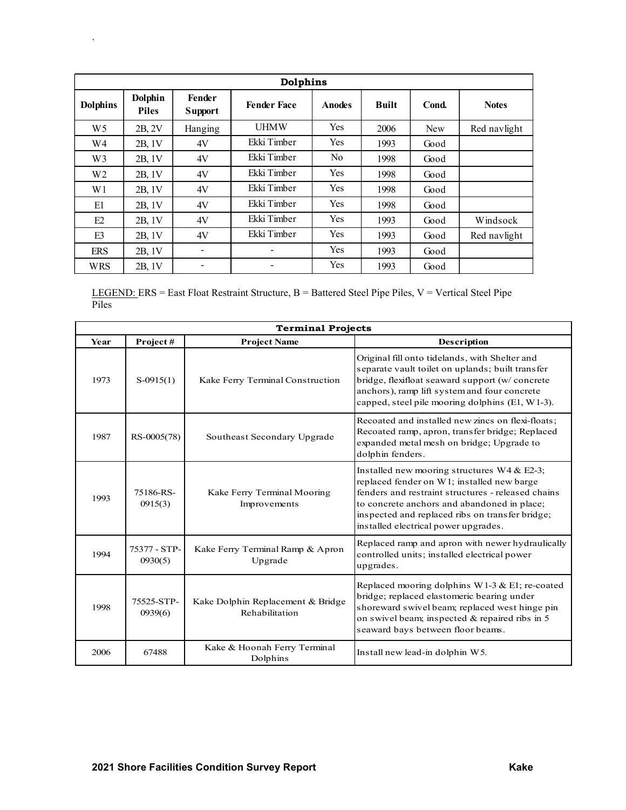| $\boldsymbol{\lambda}$ |                         |                             |                                                                                                            |                          |              |       |                                                                                                                                                                                                                                                          |
|------------------------|-------------------------|-----------------------------|------------------------------------------------------------------------------------------------------------|--------------------------|--------------|-------|----------------------------------------------------------------------------------------------------------------------------------------------------------------------------------------------------------------------------------------------------------|
|                        |                         |                             |                                                                                                            |                          |              |       |                                                                                                                                                                                                                                                          |
|                        |                         |                             |                                                                                                            |                          |              |       |                                                                                                                                                                                                                                                          |
|                        |                         |                             | Dolphins                                                                                                   |                          |              |       |                                                                                                                                                                                                                                                          |
| <b>Dolphins</b>        | Dolphin<br><b>Piles</b> | Fender<br><b>Support</b>    | <b>Fender Face</b>                                                                                         | <b>Anodes</b>            | <b>Built</b> | Cond. | <b>Notes</b>                                                                                                                                                                                                                                             |
| W <sub>5</sub>         | 2B, 2V                  | Hanging                     | <b>UHMW</b>                                                                                                | Yes                      | 2006         | New   | Red navlight                                                                                                                                                                                                                                             |
| $\,$ W4                | 2B, 1V                  | $4\mathrm{V}$               | Ekki Timber                                                                                                | Yes                      | 1993         | Good  |                                                                                                                                                                                                                                                          |
| W3                     | 2B, 1V                  | $4\mathrm{V}$               | Ekki Timber                                                                                                | ${\rm No}$               | 1998         | Good  |                                                                                                                                                                                                                                                          |
| $\rm W2$               | 2B, 1V                  | $4\mathrm{V}$               | Ekki Timber                                                                                                | Yes                      | 1998         | Good  |                                                                                                                                                                                                                                                          |
| W1                     | 2B, 1V                  | $4\mathrm{V}$               | Ekki Timber                                                                                                | Yes                      | 1998         | Good  |                                                                                                                                                                                                                                                          |
| E1                     | 2B, 1V                  | $4\mathrm{V}$               | Ekki Timber                                                                                                | Yes                      | 1998         | Good  |                                                                                                                                                                                                                                                          |
| E2                     | 2B, 1V                  | $4\mathrm{V}$               | Ekki Timber                                                                                                | Yes                      | 1993         | Good  | Windsock                                                                                                                                                                                                                                                 |
| E3                     | 2B, 1V                  | $4\mathrm{V}$               | Ekki Timber                                                                                                | Yes                      | 1993         | Good  | Red navlight                                                                                                                                                                                                                                             |
| <b>ERS</b>             | 2B, 1V                  | $\blacksquare$              | $\blacksquare$                                                                                             | Yes                      | 1993         | Good  |                                                                                                                                                                                                                                                          |
| <b>WRS</b>             | 2B, 1V                  | $\blacksquare$              | $\blacksquare$                                                                                             | Yes                      | 1993         | Good  |                                                                                                                                                                                                                                                          |
| Piles                  |                         |                             | LEGEND: ERS = East Float Restraint Structure, $B = B$ attered Steel Pipe Piles, $V = V$ ertical Steel Pipe |                          |              |       |                                                                                                                                                                                                                                                          |
|                        |                         |                             |                                                                                                            | <b>Terminal Projects</b> |              |       |                                                                                                                                                                                                                                                          |
| Year                   | Project#                |                             | <b>Project Name</b>                                                                                        |                          |              |       | <b>Description</b>                                                                                                                                                                                                                                       |
| 1973                   | $S-0915(1)$             |                             | Kake Ferry Terminal Construction                                                                           |                          |              |       | Original fill onto tidelands, with Shelter and<br>separate vault toilet on uplands; built transfer<br>bridge, flexifloat seaward support (w/ concrete<br>anchors), ramp lift system and four concrete<br>capped, steel pile mooring dolphins (E1, W1-3). |
|                        | RS-0005(78)             | Southeast Secondary Upgrade |                                                                                                            |                          |              |       | Recoated and installed new zincs on flexi-floats;<br>Recoated ramp, apron, transfer bridge; Replaced<br>expanded metal mesh on bridge; Upgrade to                                                                                                        |

| W <sub>2</sub> | 2B, 1V                  | 4V             | Ekki Timber                                                                                                     | Yes                      | 1998                                 | Good             |                                                                                                                                                                                                                                                          |  |
|----------------|-------------------------|----------------|-----------------------------------------------------------------------------------------------------------------|--------------------------|--------------------------------------|------------------|----------------------------------------------------------------------------------------------------------------------------------------------------------------------------------------------------------------------------------------------------------|--|
| W <sub>1</sub> | 2B, 1V                  | 4V             | Ekki Timber                                                                                                     | Yes                      | 1998                                 | Good             |                                                                                                                                                                                                                                                          |  |
| E1             | 2B, 1V                  | 4V             | Ekki Timber                                                                                                     | Yes                      | 1998                                 | Good             |                                                                                                                                                                                                                                                          |  |
| E2             | 2B, 1V                  | 4V             | Ekki Timber                                                                                                     | Yes                      | 1993                                 | Good             | Windsock                                                                                                                                                                                                                                                 |  |
| E3             | 2B, 1V                  | 4V             | Ekki Timber                                                                                                     | Yes                      | 1993                                 | Good             | Red navlight                                                                                                                                                                                                                                             |  |
| <b>ERS</b>     | 2B, 1V                  | $\frac{1}{2}$  |                                                                                                                 | Yes                      | 1993                                 | Good             |                                                                                                                                                                                                                                                          |  |
| <b>WRS</b>     | 2B, 1V                  | $\blacksquare$ | $\overline{a}$                                                                                                  | Yes                      | 1993                                 | Good             |                                                                                                                                                                                                                                                          |  |
| Piles          |                         |                | <b>LEGEND:</b> ERS = East Float Restraint Structure, $B =$ Battered Steel Pipe Piles, $V =$ Vertical Steel Pipe |                          |                                      |                  |                                                                                                                                                                                                                                                          |  |
|                |                         |                |                                                                                                                 | <b>Terminal Projects</b> |                                      |                  |                                                                                                                                                                                                                                                          |  |
| Year           | Project#                |                | <b>Project Name</b>                                                                                             |                          |                                      |                  | Description                                                                                                                                                                                                                                              |  |
| 1973           | $S-0915(1)$             |                | Kake Ferry Terminal Construction                                                                                |                          |                                      |                  | Original fill onto tidelands, with Shelter and<br>separate vault toilet on uplands; built transfer<br>bridge, flexifloat seaward support (w/ concrete<br>anchors), ramp lift system and four concrete<br>capped, steel pile mooring dolphins (E1, W1-3). |  |
| 1987           | RS-0005(78)             |                | Southeast Secondary Upgrade                                                                                     |                          |                                      | dolphin fenders. | Recoated and installed new zincs on flexi-floats;<br>Recoated ramp, apron, transfer bridge; Replaced<br>expanded metal mesh on bridge; Upgrade to                                                                                                        |  |
| 1993           | 75186-RS-<br>0915(3)    |                | Kake Ferry Terminal Mooring<br>Improvements                                                                     |                          | installed electrical power upgrades. |                  | Installed new mooring structures W4 & E2-3;<br>replaced fender on W1; installed new barge<br>fenders and restraint structures - released chains<br>to concrete anchors and abandoned in place;<br>inspected and replaced ribs on transfer bridge;        |  |
| 1994           | 75377 - STP-<br>0930(5) |                | Kake Ferry Terminal Ramp & Apron<br>Upgrade                                                                     |                          | upgrades.                            |                  | Replaced ramp and apron with newer hydraulically<br>controlled units; installed electrical power                                                                                                                                                         |  |
| 1998           | 75525-STP-<br>0939(6)   |                | Kake Dolphin Replacement & Bridge<br>Rehabilitation                                                             |                          |                                      |                  | Replaced mooring dolphins W1-3 & E1; re-coated<br>bridge; replaced elastomeric bearing under<br>shoreward swivel beam; replaced west hinge pin<br>on swivel beam; inspected & repaired ribs in 5<br>seaward bays between floor beams.                    |  |
| 2006           | 67488                   |                | Kake & Hoonah Ferry Terminal<br>Dolphins                                                                        |                          | Install new lead-in dolphin W5.      |                  |                                                                                                                                                                                                                                                          |  |